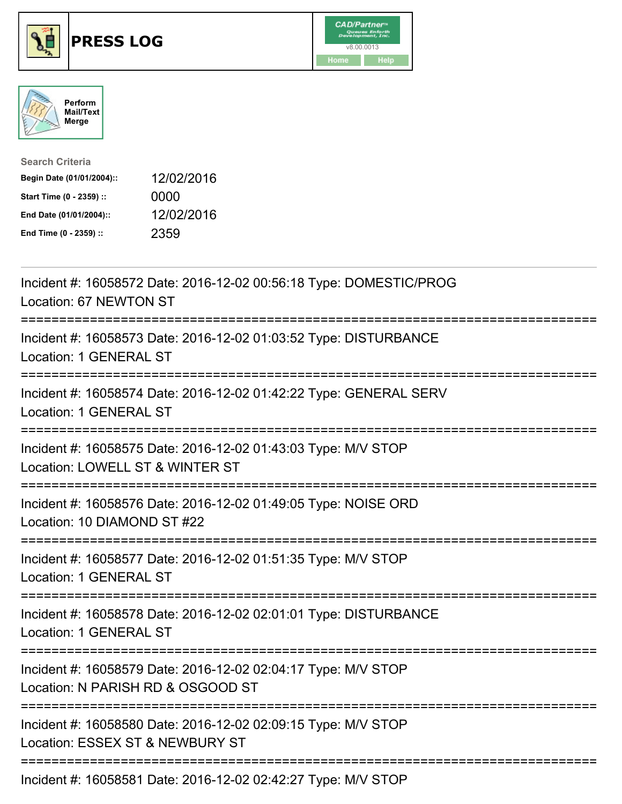





| <b>Search Criteria</b>    |            |
|---------------------------|------------|
| Begin Date (01/01/2004):: | 12/02/2016 |
| Start Time (0 - 2359) ::  | 0000       |
| End Date (01/01/2004)::   | 12/02/2016 |
| End Time (0 - 2359) ::    | 2359       |

| Incident #: 16058572 Date: 2016-12-02 00:56:18 Type: DOMESTIC/PROG<br>Location: 67 NEWTON ST<br>==============                      |
|-------------------------------------------------------------------------------------------------------------------------------------|
| Incident #: 16058573 Date: 2016-12-02 01:03:52 Type: DISTURBANCE<br>Location: 1 GENERAL ST                                          |
| Incident #: 16058574 Date: 2016-12-02 01:42:22 Type: GENERAL SERV<br>Location: 1 GENERAL ST<br>----------------                     |
| Incident #: 16058575 Date: 2016-12-02 01:43:03 Type: M/V STOP<br>Location: LOWELL ST & WINTER ST                                    |
| Incident #: 16058576 Date: 2016-12-02 01:49:05 Type: NOISE ORD<br>Location: 10 DIAMOND ST #22                                       |
| Incident #: 16058577 Date: 2016-12-02 01:51:35 Type: M/V STOP<br>Location: 1 GENERAL ST                                             |
| Incident #: 16058578 Date: 2016-12-02 02:01:01 Type: DISTURBANCE<br>Location: 1 GENERAL ST                                          |
| Incident #: 16058579 Date: 2016-12-02 02:04:17 Type: M/V STOP<br>Location: N PARISH RD & OSGOOD ST<br>;============================ |
| Incident #: 16058580 Date: 2016-12-02 02:09:15 Type: M/V STOP<br>Location: ESSEX ST & NEWBURY ST                                    |
| Incident #: 16058581 Date: 2016-12-02 02:42:27 Type: M/V STOP                                                                       |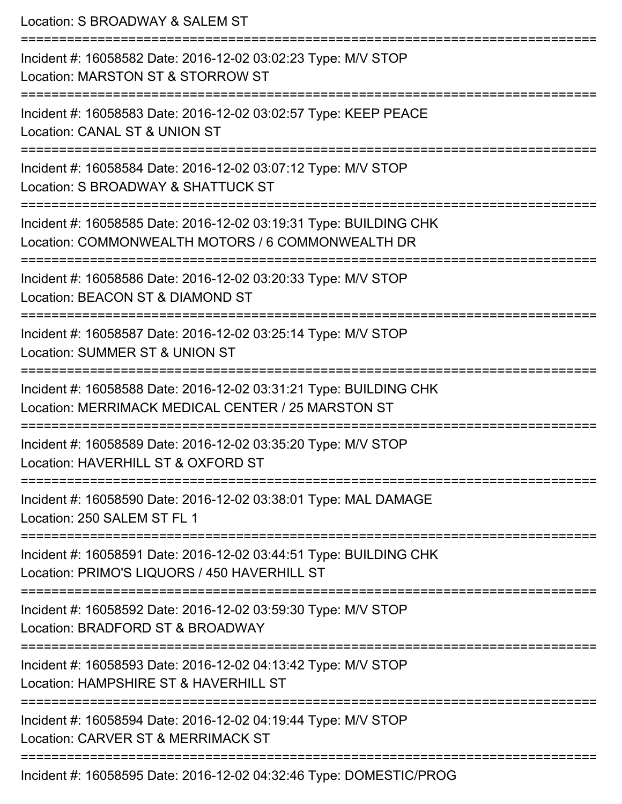| Location: S BROADWAY & SALEM ST                                                                                                                    |
|----------------------------------------------------------------------------------------------------------------------------------------------------|
| Incident #: 16058582 Date: 2016-12-02 03:02:23 Type: M/V STOP<br>Location: MARSTON ST & STORROW ST                                                 |
| Incident #: 16058583 Date: 2016-12-02 03:02:57 Type: KEEP PEACE<br>Location: CANAL ST & UNION ST                                                   |
| Incident #: 16058584 Date: 2016-12-02 03:07:12 Type: M/V STOP<br>Location: S BROADWAY & SHATTUCK ST                                                |
| :=======================<br>Incident #: 16058585 Date: 2016-12-02 03:19:31 Type: BUILDING CHK<br>Location: COMMONWEALTH MOTORS / 6 COMMONWEALTH DR |
| Incident #: 16058586 Date: 2016-12-02 03:20:33 Type: M/V STOP<br>Location: BEACON ST & DIAMOND ST                                                  |
| Incident #: 16058587 Date: 2016-12-02 03:25:14 Type: M/V STOP<br>Location: SUMMER ST & UNION ST                                                    |
| Incident #: 16058588 Date: 2016-12-02 03:31:21 Type: BUILDING CHK<br>Location: MERRIMACK MEDICAL CENTER / 25 MARSTON ST                            |
| Incident #: 16058589 Date: 2016-12-02 03:35:20 Type: M/V STOP<br>Location: HAVERHILL ST & OXFORD ST                                                |
| Incident #: 16058590 Date: 2016-12-02 03:38:01 Type: MAL DAMAGE<br>Location: 250 SALEM ST FL 1                                                     |
| Incident #: 16058591 Date: 2016-12-02 03:44:51 Type: BUILDING CHK<br>Location: PRIMO'S LIQUORS / 450 HAVERHILL ST                                  |
| ===========================<br>Incident #: 16058592 Date: 2016-12-02 03:59:30 Type: M/V STOP<br>Location: BRADFORD ST & BROADWAY                   |
| Incident #: 16058593 Date: 2016-12-02 04:13:42 Type: M/V STOP<br>Location: HAMPSHIRE ST & HAVERHILL ST                                             |
| Incident #: 16058594 Date: 2016-12-02 04:19:44 Type: M/V STOP<br>Location: CARVER ST & MERRIMACK ST                                                |
| Incident #: 16058595 Date: 2016-12-02 04:32:46 Type: DOMESTIC/PROG                                                                                 |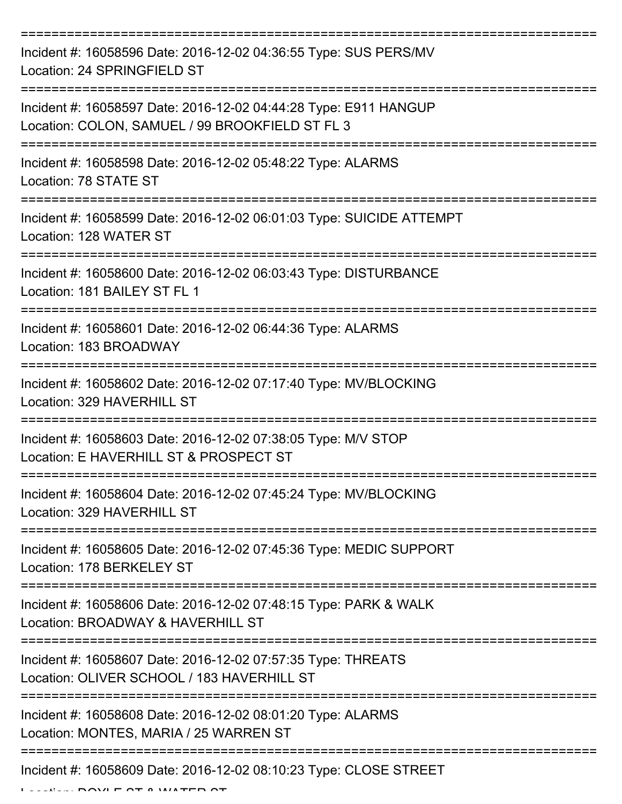| Incident #: 16058596 Date: 2016-12-02 04:36:55 Type: SUS PERS/MV<br>Location: 24 SPRINGFIELD ST                     |
|---------------------------------------------------------------------------------------------------------------------|
| Incident #: 16058597 Date: 2016-12-02 04:44:28 Type: E911 HANGUP<br>Location: COLON, SAMUEL / 99 BROOKFIELD ST FL 3 |
| Incident #: 16058598 Date: 2016-12-02 05:48:22 Type: ALARMS<br>Location: 78 STATE ST                                |
| Incident #: 16058599 Date: 2016-12-02 06:01:03 Type: SUICIDE ATTEMPT<br>Location: 128 WATER ST                      |
| Incident #: 16058600 Date: 2016-12-02 06:03:43 Type: DISTURBANCE<br>Location: 181 BAILEY ST FL 1                    |
| Incident #: 16058601 Date: 2016-12-02 06:44:36 Type: ALARMS<br>Location: 183 BROADWAY                               |
| Incident #: 16058602 Date: 2016-12-02 07:17:40 Type: MV/BLOCKING<br>Location: 329 HAVERHILL ST                      |
| Incident #: 16058603 Date: 2016-12-02 07:38:05 Type: M/V STOP<br>Location: E HAVERHILL ST & PROSPECT ST             |
| Incident #: 16058604 Date: 2016-12-02 07:45:24 Type: MV/BLOCKING<br>Location: 329 HAVERHILL ST                      |
| Incident #: 16058605 Date: 2016-12-02 07:45:36 Type: MEDIC SUPPORT<br>Location: 178 BERKELEY ST                     |
| Incident #: 16058606 Date: 2016-12-02 07:48:15 Type: PARK & WALK<br>Location: BROADWAY & HAVERHILL ST               |
| Incident #: 16058607 Date: 2016-12-02 07:57:35 Type: THREATS<br>Location: OLIVER SCHOOL / 183 HAVERHILL ST          |
| Incident #: 16058608 Date: 2016-12-02 08:01:20 Type: ALARMS<br>Location: MONTES, MARIA / 25 WARREN ST               |
| --------------------------------<br>Incident #: 16058609 Date: 2016-12-02 08:10:23 Type: CLOSE STREET               |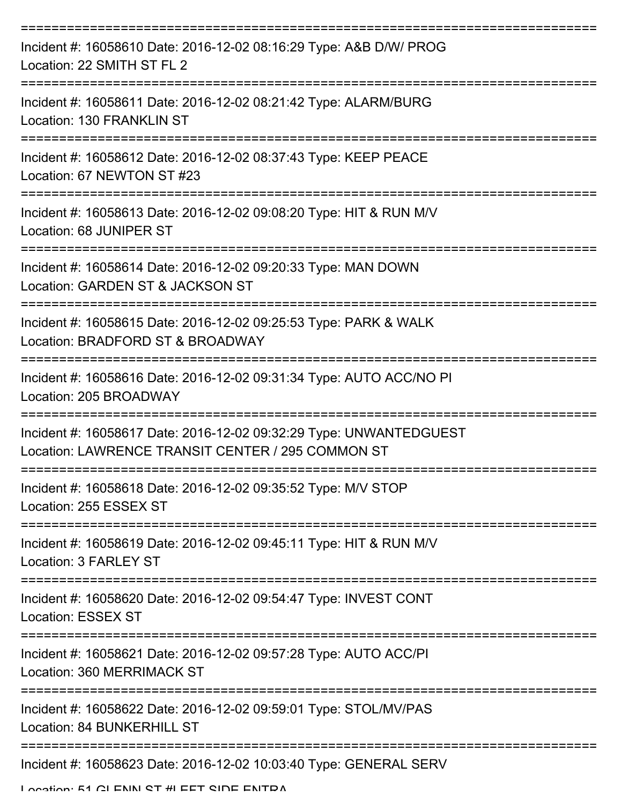| Incident #: 16058610 Date: 2016-12-02 08:16:29 Type: A&B D/W/ PROG<br>Location: 22 SMITH ST FL 2                        |
|-------------------------------------------------------------------------------------------------------------------------|
| Incident #: 16058611 Date: 2016-12-02 08:21:42 Type: ALARM/BURG<br>Location: 130 FRANKLIN ST                            |
| Incident #: 16058612 Date: 2016-12-02 08:37:43 Type: KEEP PEACE<br>Location: 67 NEWTON ST #23                           |
| Incident #: 16058613 Date: 2016-12-02 09:08:20 Type: HIT & RUN M/V<br>Location: 68 JUNIPER ST                           |
| Incident #: 16058614 Date: 2016-12-02 09:20:33 Type: MAN DOWN<br>Location: GARDEN ST & JACKSON ST                       |
| Incident #: 16058615 Date: 2016-12-02 09:25:53 Type: PARK & WALK<br>Location: BRADFORD ST & BROADWAY                    |
| Incident #: 16058616 Date: 2016-12-02 09:31:34 Type: AUTO ACC/NO PI<br>Location: 205 BROADWAY                           |
| Incident #: 16058617 Date: 2016-12-02 09:32:29 Type: UNWANTEDGUEST<br>Location: LAWRENCE TRANSIT CENTER / 295 COMMON ST |
| Incident #: 16058618 Date: 2016-12-02 09:35:52 Type: M/V STOP<br>Location: 255 ESSEX ST                                 |
| Incident #: 16058619 Date: 2016-12-02 09:45:11 Type: HIT & RUN M/V<br>Location: 3 FARLEY ST                             |
| Incident #: 16058620 Date: 2016-12-02 09:54:47 Type: INVEST CONT<br><b>Location: ESSEX ST</b>                           |
| Incident #: 16058621 Date: 2016-12-02 09:57:28 Type: AUTO ACC/PI<br>Location: 360 MERRIMACK ST                          |
| Incident #: 16058622 Date: 2016-12-02 09:59:01 Type: STOL/MV/PAS<br>Location: 84 BUNKERHILL ST                          |
| Incident #: 16058623 Date: 2016-12-02 10:03:40 Type: GENERAL SERV                                                       |

Location: 51 GLENN ST #LEET SIDE ENITDA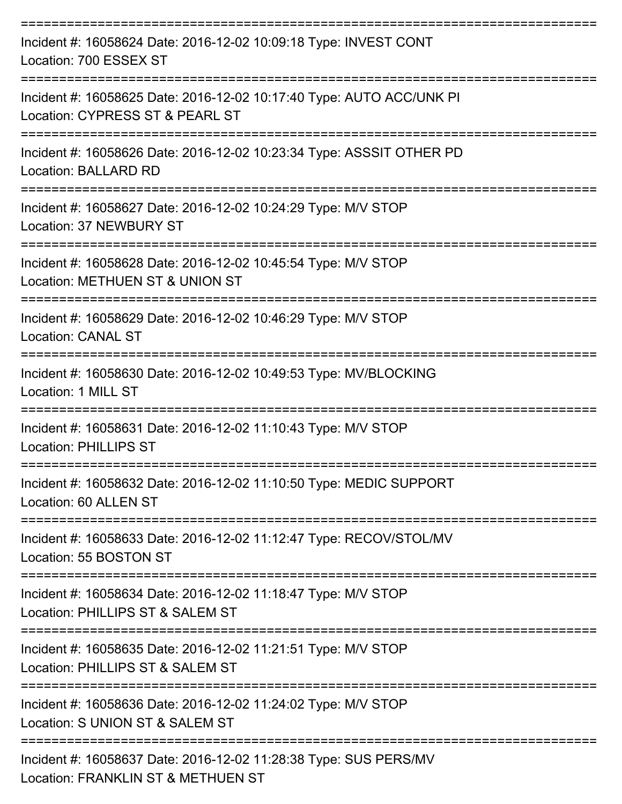| Incident #: 16058624 Date: 2016-12-02 10:09:18 Type: INVEST CONT<br>Location: 700 ESSEX ST                             |
|------------------------------------------------------------------------------------------------------------------------|
| Incident #: 16058625 Date: 2016-12-02 10:17:40 Type: AUTO ACC/UNK PI<br>Location: CYPRESS ST & PEARL ST                |
| Incident #: 16058626 Date: 2016-12-02 10:23:34 Type: ASSSIT OTHER PD<br>Location: BALLARD RD<br>-------------------    |
| Incident #: 16058627 Date: 2016-12-02 10:24:29 Type: M/V STOP<br>Location: 37 NEWBURY ST                               |
| ==================<br>Incident #: 16058628 Date: 2016-12-02 10:45:54 Type: M/V STOP<br>Location: METHUEN ST & UNION ST |
| Incident #: 16058629 Date: 2016-12-02 10:46:29 Type: M/V STOP<br><b>Location: CANAL ST</b>                             |
| Incident #: 16058630 Date: 2016-12-02 10:49:53 Type: MV/BLOCKING<br>Location: 1 MILL ST                                |
| Incident #: 16058631 Date: 2016-12-02 11:10:43 Type: M/V STOP<br><b>Location: PHILLIPS ST</b>                          |
| Incident #: 16058632 Date: 2016-12-02 11:10:50 Type: MEDIC SUPPORT<br>Location: 60 ALLEN ST                            |
| Incident #: 16058633 Date: 2016-12-02 11:12:47 Type: RECOV/STOL/MV<br>Location: 55 BOSTON ST                           |
| Incident #: 16058634 Date: 2016-12-02 11:18:47 Type: M/V STOP<br>Location: PHILLIPS ST & SALEM ST                      |
| Incident #: 16058635 Date: 2016-12-02 11:21:51 Type: M/V STOP<br>Location: PHILLIPS ST & SALEM ST                      |
| Incident #: 16058636 Date: 2016-12-02 11:24:02 Type: M/V STOP<br>Location: S UNION ST & SALEM ST                       |
| Incident #: 16058637 Date: 2016-12-02 11:28:38 Type: SUS PERS/MV<br>Location: FRANKLIN ST & METHUEN ST                 |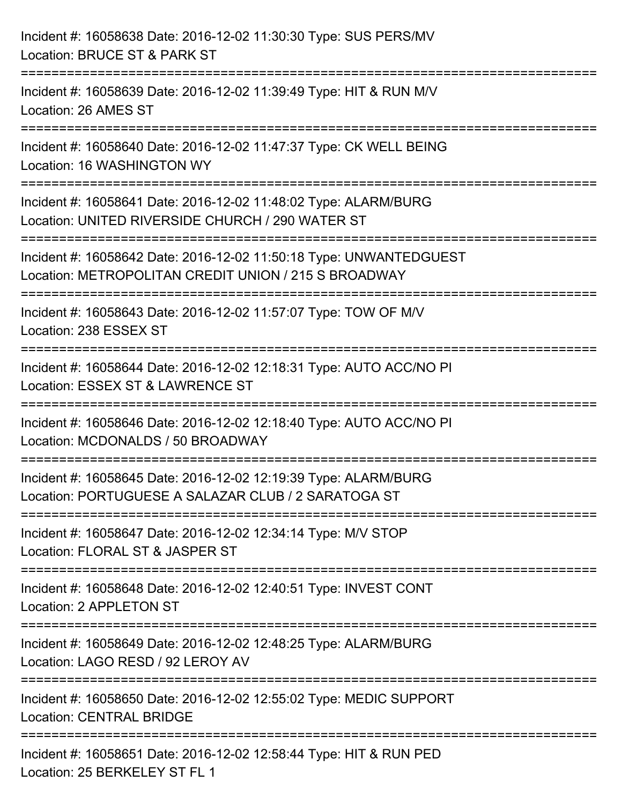| Incident #: 16058638 Date: 2016-12-02 11:30:30 Type: SUS PERS/MV<br>Location: BRUCE ST & PARK ST                                        |
|-----------------------------------------------------------------------------------------------------------------------------------------|
| ======================================<br>Incident #: 16058639 Date: 2016-12-02 11:39:49 Type: HIT & RUN M/V<br>Location: 26 AMES ST    |
| -----------------------------------<br>Incident #: 16058640 Date: 2016-12-02 11:47:37 Type: CK WELL BEING<br>Location: 16 WASHINGTON WY |
| Incident #: 16058641 Date: 2016-12-02 11:48:02 Type: ALARM/BURG<br>Location: UNITED RIVERSIDE CHURCH / 290 WATER ST                     |
| Incident #: 16058642 Date: 2016-12-02 11:50:18 Type: UNWANTEDGUEST<br>Location: METROPOLITAN CREDIT UNION / 215 S BROADWAY              |
| Incident #: 16058643 Date: 2016-12-02 11:57:07 Type: TOW OF M/V<br>Location: 238 ESSEX ST                                               |
| Incident #: 16058644 Date: 2016-12-02 12:18:31 Type: AUTO ACC/NO PI<br>Location: ESSEX ST & LAWRENCE ST                                 |
| Incident #: 16058646 Date: 2016-12-02 12:18:40 Type: AUTO ACC/NO PI<br>Location: MCDONALDS / 50 BROADWAY                                |
| Incident #: 16058645 Date: 2016-12-02 12:19:39 Type: ALARM/BURG<br>Location: PORTUGUESE A SALAZAR CLUB / 2 SARATOGA ST                  |
| Incident #: 16058647 Date: 2016-12-02 12:34:14 Type: M/V STOP<br>Location: FLORAL ST & JASPER ST                                        |
| Incident #: 16058648 Date: 2016-12-02 12:40:51 Type: INVEST CONT<br>Location: 2 APPLETON ST                                             |
| Incident #: 16058649 Date: 2016-12-02 12:48:25 Type: ALARM/BURG<br>Location: LAGO RESD / 92 LEROY AV                                    |
| Incident #: 16058650 Date: 2016-12-02 12:55:02 Type: MEDIC SUPPORT<br><b>Location: CENTRAL BRIDGE</b>                                   |
| Incident #: 16058651 Date: 2016-12-02 12:58:44 Type: HIT & RUN PED<br>Location: 25 BERKELEY ST FL 1                                     |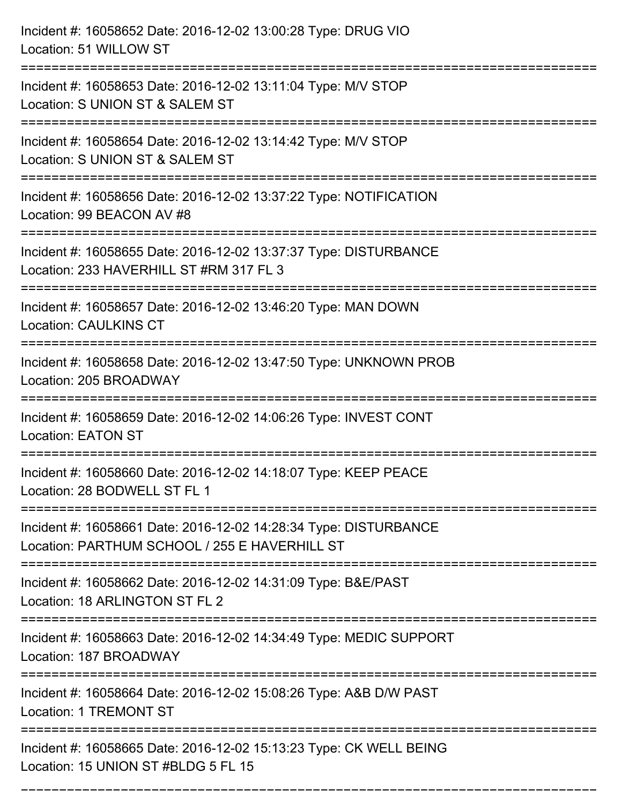| Incident #: 16058652 Date: 2016-12-02 13:00:28 Type: DRUG VIO<br>Location: 51 WILLOW ST                                                  |
|------------------------------------------------------------------------------------------------------------------------------------------|
| Incident #: 16058653 Date: 2016-12-02 13:11:04 Type: M/V STOP<br>Location: S UNION ST & SALEM ST                                         |
| Incident #: 16058654 Date: 2016-12-02 13:14:42 Type: M/V STOP<br>Location: S UNION ST & SALEM ST<br>____________________________________ |
| Incident #: 16058656 Date: 2016-12-02 13:37:22 Type: NOTIFICATION<br>Location: 99 BEACON AV #8                                           |
| Incident #: 16058655 Date: 2016-12-02 13:37:37 Type: DISTURBANCE<br>Location: 233 HAVERHILL ST #RM 317 FL 3                              |
| Incident #: 16058657 Date: 2016-12-02 13:46:20 Type: MAN DOWN<br><b>Location: CAULKINS CT</b>                                            |
| Incident #: 16058658 Date: 2016-12-02 13:47:50 Type: UNKNOWN PROB<br>Location: 205 BROADWAY                                              |
| Incident #: 16058659 Date: 2016-12-02 14:06:26 Type: INVEST CONT<br><b>Location: EATON ST</b>                                            |
| Incident #: 16058660 Date: 2016-12-02 14:18:07 Type: KEEP PEACE<br>Location: 28 BODWELL ST FL 1                                          |
| Incident #: 16058661 Date: 2016-12-02 14:28:34 Type: DISTURBANCE<br>Location: PARTHUM SCHOOL / 255 E HAVERHILL ST                        |
| Incident #: 16058662 Date: 2016-12-02 14:31:09 Type: B&E/PAST<br>Location: 18 ARLINGTON ST FL 2                                          |
| Incident #: 16058663 Date: 2016-12-02 14:34:49 Type: MEDIC SUPPORT<br>Location: 187 BROADWAY                                             |
| Incident #: 16058664 Date: 2016-12-02 15:08:26 Type: A&B D/W PAST<br><b>Location: 1 TREMONT ST</b>                                       |
| Incident #: 16058665 Date: 2016-12-02 15:13:23 Type: CK WELL BEING<br>Location: 15 UNION ST #BLDG 5 FL 15                                |

===========================================================================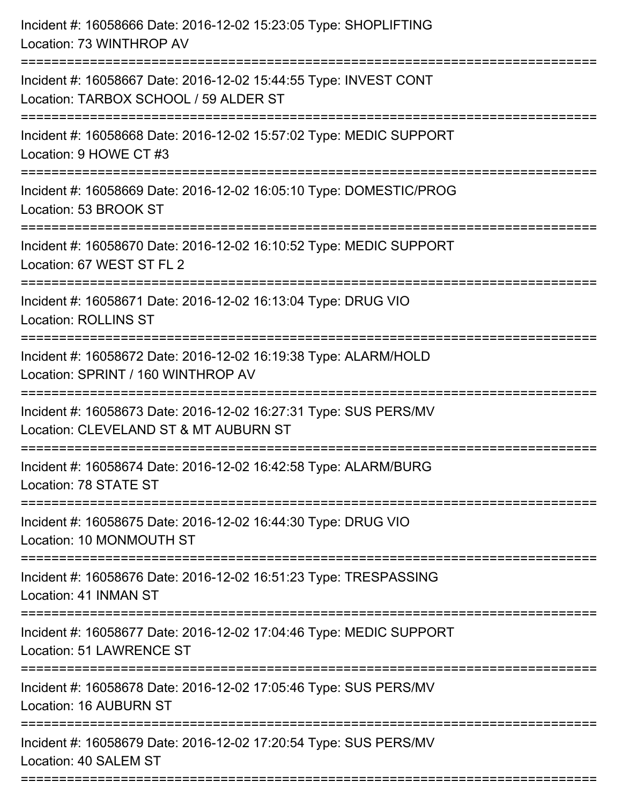| Incident #: 16058666 Date: 2016-12-02 15:23:05 Type: SHOPLIFTING<br>Location: 73 WINTHROP AV                         |
|----------------------------------------------------------------------------------------------------------------------|
| Incident #: 16058667 Date: 2016-12-02 15:44:55 Type: INVEST CONT<br>Location: TARBOX SCHOOL / 59 ALDER ST            |
| Incident #: 16058668 Date: 2016-12-02 15:57:02 Type: MEDIC SUPPORT<br>Location: 9 HOWE CT #3                         |
| Incident #: 16058669 Date: 2016-12-02 16:05:10 Type: DOMESTIC/PROG<br>Location: 53 BROOK ST                          |
| Incident #: 16058670 Date: 2016-12-02 16:10:52 Type: MEDIC SUPPORT<br>Location: 67 WEST ST FL 2                      |
| Incident #: 16058671 Date: 2016-12-02 16:13:04 Type: DRUG VIO<br><b>Location: ROLLINS ST</b>                         |
| Incident #: 16058672 Date: 2016-12-02 16:19:38 Type: ALARM/HOLD<br>Location: SPRINT / 160 WINTHROP AV                |
| Incident #: 16058673 Date: 2016-12-02 16:27:31 Type: SUS PERS/MV<br>Location: CLEVELAND ST & MT AUBURN ST            |
| Incident #: 16058674 Date: 2016-12-02 16:42:58 Type: ALARM/BURG<br>Location: 78 STATE ST                             |
| Incident #: 16058675 Date: 2016-12-02 16:44:30 Type: DRUG VIO<br>Location: 10 MONMOUTH ST                            |
| Incident #: 16058676 Date: 2016-12-02 16:51:23 Type: TRESPASSING<br>Location: 41 INMAN ST                            |
| Incident #: 16058677 Date: 2016-12-02 17:04:46 Type: MEDIC SUPPORT<br><b>Location: 51 LAWRENCE ST</b>                |
| ======================<br>Incident #: 16058678 Date: 2016-12-02 17:05:46 Type: SUS PERS/MV<br>Location: 16 AUBURN ST |
| Incident #: 16058679 Date: 2016-12-02 17:20:54 Type: SUS PERS/MV<br>Location: 40 SALEM ST                            |
|                                                                                                                      |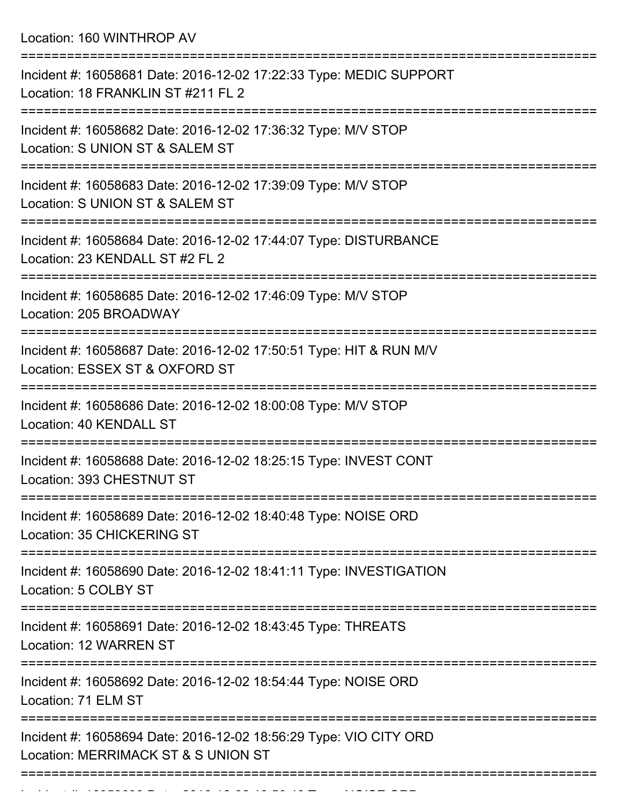Location: 160 WINTHROP AV

| Incident #: 16058681 Date: 2016-12-02 17:22:33 Type: MEDIC SUPPORT<br>Location: 18 FRANKLIN ST #211 FL 2<br>================= |
|-------------------------------------------------------------------------------------------------------------------------------|
| Incident #: 16058682 Date: 2016-12-02 17:36:32 Type: M/V STOP<br>Location: S UNION ST & SALEM ST                              |
| Incident #: 16058683 Date: 2016-12-02 17:39:09 Type: M/V STOP<br>Location: S UNION ST & SALEM ST                              |
| Incident #: 16058684 Date: 2016-12-02 17:44:07 Type: DISTURBANCE<br>Location: 23 KENDALL ST #2 FL 2                           |
| Incident #: 16058685 Date: 2016-12-02 17:46:09 Type: M/V STOP<br>Location: 205 BROADWAY                                       |
| Incident #: 16058687 Date: 2016-12-02 17:50:51 Type: HIT & RUN M/V<br>Location: ESSEX ST & OXFORD ST                          |
| Incident #: 16058686 Date: 2016-12-02 18:00:08 Type: M/V STOP<br>Location: 40 KENDALL ST                                      |
| Incident #: 16058688 Date: 2016-12-02 18:25:15 Type: INVEST CONT<br>Location: 393 CHESTNUT ST<br>.--------------              |
| Incident #: 16058689 Date: 2016-12-02 18:40:48 Type: NOISE ORD<br>Location: 35 CHICKERING ST                                  |
| Incident #: 16058690 Date: 2016-12-02 18:41:11 Type: INVESTIGATION<br>Location: 5 COLBY ST                                    |
| Incident #: 16058691 Date: 2016-12-02 18:43:45 Type: THREATS<br>Location: 12 WARREN ST                                        |
| Incident #: 16058692 Date: 2016-12-02 18:54:44 Type: NOISE ORD<br>Location: 71 ELM ST                                         |
| Incident #: 16058694 Date: 2016-12-02 18:56:29 Type: VIO CITY ORD<br>Location: MERRIMACK ST & S UNION ST                      |
|                                                                                                                               |

Incident #: 16058693 Date: 2016 12 02 18:56:48 Type: NOISE ORD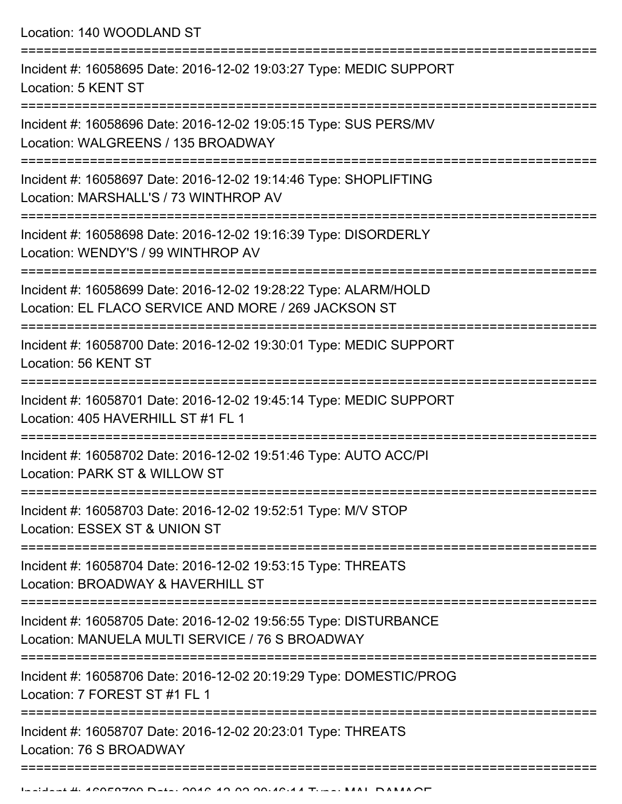Location: 140 WOODLAND ST =========================================================================== Incident #: 16058695 Date: 2016-12-02 19:03:27 Type: MEDIC SUPPORT Location: 5 KENT ST =========================================================================== Incident #: 16058696 Date: 2016-12-02 19:05:15 Type: SUS PERS/MV Location: WALGREENS / 135 BROADWAY =========================================================================== Incident #: 16058697 Date: 2016-12-02 19:14:46 Type: SHOPLIFTING Location: MARSHALL'S / 73 WINTHROP AV =========================================================================== Incident #: 16058698 Date: 2016-12-02 19:16:39 Type: DISORDERLY Location: WENDY'S / 99 WINTHROP AV =========================================================================== Incident #: 16058699 Date: 2016-12-02 19:28:22 Type: ALARM/HOLD Location: EL FLACO SERVICE AND MORE / 269 JACKSON ST =========================================================================== Incident #: 16058700 Date: 2016-12-02 19:30:01 Type: MEDIC SUPPORT Location: 56 KENT ST =========================================================================== Incident #: 16058701 Date: 2016-12-02 19:45:14 Type: MEDIC SUPPORT Location: 405 HAVERHILL ST #1 FL 1 =========================================================================== Incident #: 16058702 Date: 2016-12-02 19:51:46 Type: AUTO ACC/PI Location: PARK ST & WILLOW ST =========================================================================== Incident #: 16058703 Date: 2016-12-02 19:52:51 Type: M/V STOP Location: ESSEX ST & UNION ST =========================================================================== Incident #: 16058704 Date: 2016-12-02 19:53:15 Type: THREATS Location: BROADWAY & HAVERHILL ST =========================================================================== Incident #: 16058705 Date: 2016-12-02 19:56:55 Type: DISTURBANCE Location: MANUELA MULTI SERVICE / 76 S BROADWAY =========================================================================== Incident #: 16058706 Date: 2016-12-02 20:19:29 Type: DOMESTIC/PROG Location: 7 FOREST ST #1 FL 1 =========================================================================== Incident #: 16058707 Date: 2016-12-02 20:23:01 Type: THREATS Location: 76 S BROADWAY ===========================================================================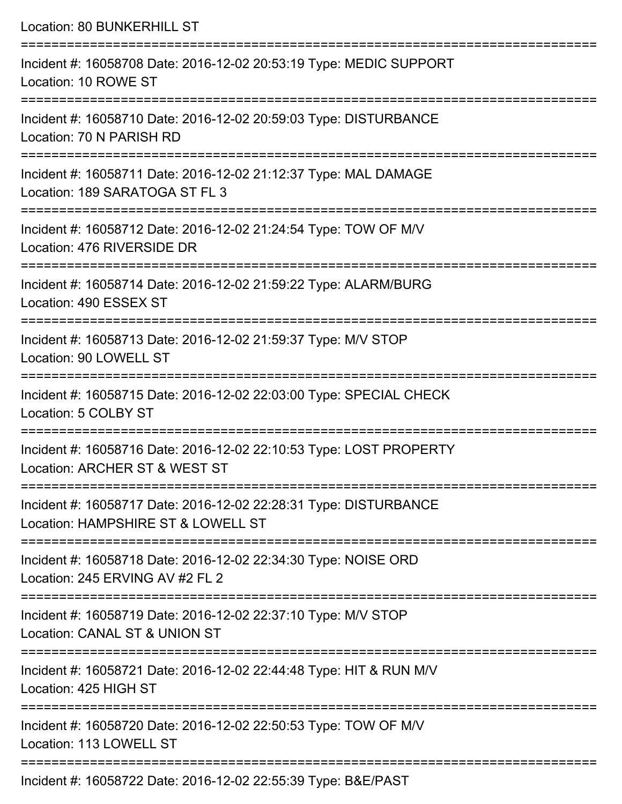| Location: 80 BUNKERHILL ST                                                                                                            |
|---------------------------------------------------------------------------------------------------------------------------------------|
| Incident #: 16058708 Date: 2016-12-02 20:53:19 Type: MEDIC SUPPORT<br>Location: 10 ROWE ST                                            |
| Incident #: 16058710 Date: 2016-12-02 20:59:03 Type: DISTURBANCE<br>Location: 70 N PARISH RD                                          |
| Incident #: 16058711 Date: 2016-12-02 21:12:37 Type: MAL DAMAGE<br>Location: 189 SARATOGA ST FL 3<br>-----------------                |
| ;===================================<br>Incident #: 16058712 Date: 2016-12-02 21:24:54 Type: TOW OF M/V<br>Location: 476 RIVERSIDE DR |
| Incident #: 16058714 Date: 2016-12-02 21:59:22 Type: ALARM/BURG<br>Location: 490 ESSEX ST                                             |
| :=============================<br>Incident #: 16058713 Date: 2016-12-02 21:59:37 Type: M/V STOP<br>Location: 90 LOWELL ST             |
| Incident #: 16058715 Date: 2016-12-02 22:03:00 Type: SPECIAL CHECK<br>Location: 5 COLBY ST                                            |
| Incident #: 16058716 Date: 2016-12-02 22:10:53 Type: LOST PROPERTY<br>Location: ARCHER ST & WEST ST                                   |
| Incident #: 16058717 Date: 2016-12-02 22:28:31 Type: DISTURBANCE<br>Location: HAMPSHIRE ST & LOWELL ST                                |
| Incident #: 16058718 Date: 2016-12-02 22:34:30 Type: NOISE ORD<br>Location: 245 ERVING AV #2 FL 2                                     |
| Incident #: 16058719 Date: 2016-12-02 22:37:10 Type: M/V STOP<br>Location: CANAL ST & UNION ST                                        |
| Incident #: 16058721 Date: 2016-12-02 22:44:48 Type: HIT & RUN M/V<br>Location: 425 HIGH ST                                           |
| Incident #: 16058720 Date: 2016-12-02 22:50:53 Type: TOW OF M/V<br>Location: 113 LOWELL ST                                            |
|                                                                                                                                       |

Incident #: 16058722 Date: 2016-12-02 22:55:39 Type: B&E/PAST